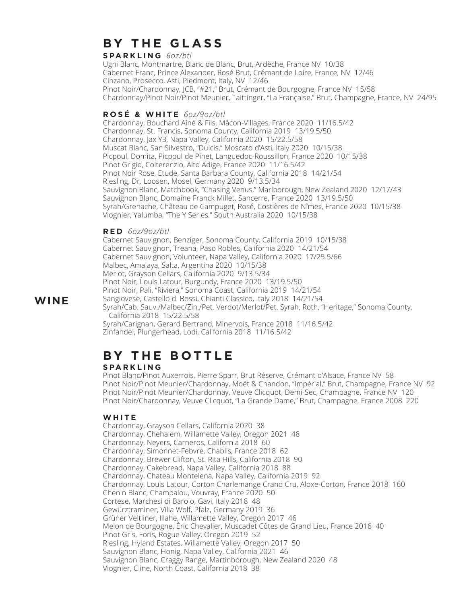## **B Y T H E G L A S S**

**S PA R K L I N G** *6oz/btl*

Ugni Blanc, Montmartre, Blanc de Blanc, Brut, Ardèche, France NV 10/38 Cabernet Franc, Prince Alexander, Rosé Brut, Crémant de Loire, France, NV 12/46 Cinzano, Prosecco, Asti, Piedmont, Italy, NV 12/46 Pinot Noir/Chardonnay, JCB, "#21," Brut, Crémant de Bourgogne, France NV 15/58 Chardonnay/Pinot Noir/Pinot Meunier, Taittinger, "La Française," Brut, Champagne, France, NV 24/95

#### **R O S É & W H I T E** *6oz/9oz/btl*

Chardonnay, Bouchard Aîné & Fils, Mâcon-Villages, France 2020 11/16.5/42 Chardonnay, St. Francis, Sonoma County, California 2019 13/19.5/50 Chardonnay, Jax Y3, Napa Valley, California 2020 15/22.5/58 Muscat Blanc, San Silvestro, "Dulcis," Moscato d'Asti, Italy 2020 10/15/38 Picpoul, Domita, Picpoul de Pinet, Languedoc-Roussillon, France 2020 10/15/38 Pinot Grigio, Colterenzio, Alto Adige, France 2020 11/16.5/42 Pinot Noir Rose, Etude, Santa Barbara County, California 2018 14/21/54 Riesling, Dr. Loosen, Mosel, Germany 2020 9/13.5/34 Sauvignon Blanc, Matchbook, "Chasing Venus," Marlborough, New Zealand 2020 12/17/43 Sauvignon Blanc, Domaine Franck Millet, Sancerre, France 2020 13/19.5/50 Syrah/Grenache, Château de Campuget, Rosé, Costières de Nîmes, France 2020 10/15/38 Viognier, Yalumba, "The Y Series," South Australia 2020 10/15/38

#### **R E D** *6oz/9oz/btl*

Cabernet Sauvignon, Benziger, Sonoma County, California 2019 10/15/38 Cabernet Sauvignon, Treana, Paso Robles, California 2020 14/21/54 Cabernet Sauvignon, Volunteer, Napa Valley, California 2020 17/25.5/66 Malbec, Amalaya, Salta, Argentina 2020 10/15/38 Merlot, Grayson Cellars, California 2020 9/13.5/34 Pinot Noir, Louis Latour, Burgundy, France 2020 13/19.5/50 Pinot Noir, Pali, "Riviera," Sonoma Coast, California 2019 14/21/54 Sangiovese, Castello di Bossi, Chianti Classico, Italy 2018 14/21/54 Syrah/Cab. Sauv./Malbec/Zin./Pet. Verdot/Merlot/Pet. Syrah, Roth, "Heritage," Sonoma County, California 2018 15/22.5/58 Syrah/Carignan, Gerard Bertrand, Minervois, France 2018 11/16.5/42 Zinfandel, Plungerhead, Lodi, California 2018 11/16.5/42

# **B Y T H E B O T T L E**

#### **S PA R K L I N G**

Pinot Blanc/Pinot Auxerrois, Pierre Sparr, Brut Réserve, Crémant d'Alsace, France NV 58 Pinot Noir/Pinot Meunier/Chardonnay, Moët & Chandon, "Impérial," Brut, Champagne, France NV 92 Pinot Noir/Pinot Meunier/Chardonnay, Veuve Clicquot, Demi-Sec, Champagne, France NV 120 Pinot Noir/Chardonnay, Veuve Clicquot, "La Grande Dame," Brut, Champagne, France 2008 220

#### **W H I T E**

Chardonnay, Grayson Cellars, California 2020 38 Chardonnay, Chehalem, Willamette Valley, Oregon 2021 48 Chardonnay, Neyers, Carneros, California 2018 60 Chardonnay, Simonnet-Febvre, Chablis, France 2018 62 Chardonnay, Brewer Clifton, St. Rita Hills, California 2018 90 Chardonnay, Cakebread, Napa Valley, California 2018 88 Chardonnay, Chateau Montelena, Napa Valley, California 2019 92 Chardonnay, Louis Latour, Corton Charlemange Crand Cru, Aloxe-Corton, France 2018 160 Chenin Blanc, Champalou, Vouvray, France 2020 50 Cortese, Marchesi di Barolo, Gavi, Italy 2018 48 Gewürztraminer, Villa Wolf, Pfalz, Germany 2019 36 Grüner Veltliner, Illahe, Willamette Valley, Oregon 2017 46 Melon de Bourgogne, Éric Chevalier, Muscadet Côtes de Grand Lieu, France 2016 40 Pinot Gris, Foris, Rogue Valley, Oregon 2019 52 Riesling, Hyland Estates, Willamette Valley, Oregon 2017 50 Sauvignon Blanc, Honig, Napa Valley, California 2021 46 Sauvignon Blanc, Craggy Range, Martinborough, New Zealand 2020 48 Viognier, Cline, North Coast, California 2018 38

#### **WINE**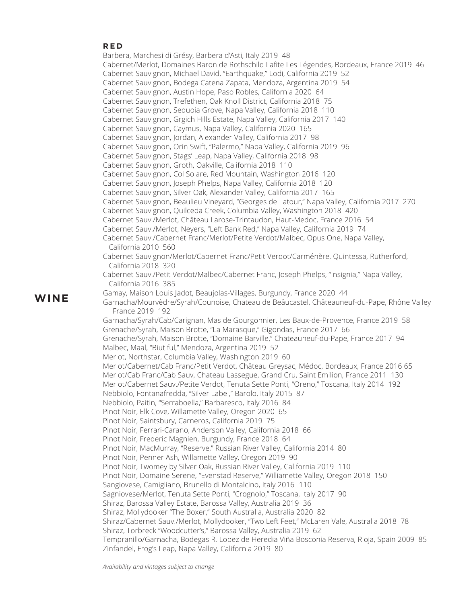#### **R E D**

Barbera, Marchesi di Grésy, Barbera d'Asti, Italy 2019 48 Cabernet/Merlot, Domaines Baron de Rothschild Lafite Les Légendes, Bordeaux, France 2019 46 Cabernet Sauvignon, Michael David, "Earthquake," Lodi, California 2019 52 Cabernet Sauvignon, Bodega Catena Zapata, Mendoza, Argentina 2019 54 Cabernet Sauvignon, Austin Hope, Paso Robles, California 2020 64 Cabernet Sauvignon, Trefethen, Oak Knoll District, California 2018 75 Cabernet Sauvignon, Sequoia Grove, Napa Valley, California 2018 110 Cabernet Sauvignon, Grgich Hills Estate, Napa Valley, California 2017 140 Cabernet Sauvignon, Caymus, Napa Valley, California 2020 165 Cabernet Sauvignon, Jordan, Alexander Valley, California 2017 98 Cabernet Sauvignon, Orin Swift, "Palermo," Napa Valley, California 2019 96 Cabernet Sauvignon, Stags' Leap, Napa Valley, California 2018 98 Cabernet Sauvignon, Groth, Oakville, California 2018 110 Cabernet Sauvignon, Col Solare, Red Mountain, Washington 2016 120 Cabernet Sauvignon, Joseph Phelps, Napa Valley, California 2018 120 Cabernet Sauvignon, Silver Oak, Alexander Valley, California 2017 165 Cabernet Sauvignon, Beaulieu Vineyard, "Georges de Latour," Napa Valley, California 2017 270 Cabernet Sauvignon, Quilceda Creek, Columbia Valley, Washington 2018 420 Cabernet Sauv./Merlot, Château Larose-Trintaudon, Haut-Medoc, France 2016 54 Cabernet Sauv./Merlot, Neyers, "Left Bank Red," Napa Valley, California 2019 74 Cabernet Sauv./Cabernet Franc/Merlot/Petite Verdot/Malbec, Opus One, Napa Valley, California 2010 560 Cabernet Sauvignon/Merlot/Cabernet Franc/Petit Verdot/Carménère, Quintessa, Rutherford, California 2018 320 Cabernet Sauv./Petit Verdot/Malbec/Cabernet Franc, Joseph Phelps, "Insignia," Napa Valley, California 2016 385 Gamay, Maison Louis Jadot, Beaujolas-Villages, Burgundy, France 2020 44 Garnacha/Mourvèdre/Syrah/Counoise, Chateau de Beâucastel, Châteauneuf-du-Pape, Rhône Valley France 2019 192 Garnacha/Syrah/Cab/Carignan, Mas de Gourgonnier, Les Baux-de-Provence, France 2019 58 Grenache/Syrah, Maison Brotte, "La Marasque," Gigondas, France 2017 66 Grenache/Syrah, Maison Brotte, "Domaine Barville," Chateauneuf-du-Pape, France 2017 94 Malbec, Maal, "Biutiful," Mendoza, Argentina 2019 52 Merlot, Northstar, Columbia Valley, Washington 2019 60 Merlot/Cabernet/Cab Franc/Petit Verdot, Château Greysac, Médoc, Bordeaux, France 2016 65 Merlot/Cab Franc/Cab Sauv, Chateau Lassegue, Grand Cru, Saint Emilion, France 2011 130 Merlot/Cabernet Sauv./Petite Verdot, Tenuta Sette Ponti, "Oreno," Toscana, Italy 2014 192 Nebbiolo, Fontanafredda, "Silver Label," Barolo, Italy 2015 87 Nebbiolo, Paitin, "Serraboella," Barbaresco, Italy 2016 84 Pinot Noir, Elk Cove, Willamette Valley, Oregon 2020 65 Pinot Noir, Saintsbury, Carneros, California 2019 75 Pinot Noir, Ferrari-Carano, Anderson Valley, California 2018 66 Pinot Noir, Frederic Magnien, Burgundy, France 2018 64 Pinot Noir, MacMurray, "Reserve," Russian River Valley, California 2014 80 Pinot Noir, Penner Ash, Willamette Valley, Oregon 2019 90 Pinot Noir, Twomey by Silver Oak, Russian River Valley, California 2019 110 Pinot Noir, Domaine Serene, "Evenstad Reserve," Williamette Valley, Oregon 2018 150 Sangiovese, Camigliano, Brunello di Montalcino, Italy 2016 110 Sagniovese/Merlot, Tenuta Sette Ponti, "Crognolo," Toscana, Italy 2017 90 Shiraz, Barossa Valley Estate, Barossa Valley, Australia 2019 36 Shiraz, Mollydooker "The Boxer," South Australia, Australia 2020 82 Shiraz/Cabernet Sauv./Merlot, Mollydooker, "Two Left Feet," McLaren Vale, Australia 2018 78 Shiraz, Torbreck "Woodcutter's," Barossa Valley, Australia 2019 62 Tempranillo/Garnacha, Bodegas R. Lopez de Heredia Viña Bosconia Reserva, Rioja, Spain 2009 85 Zinfandel, Frog's Leap, Napa Valley, California 2019 80

**WINE**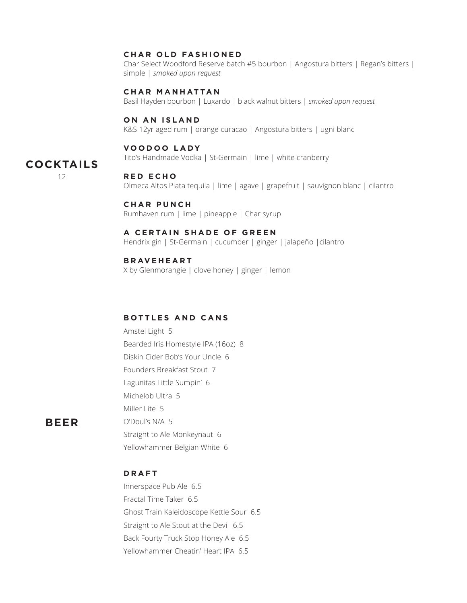#### **CHAR OLD FASHIONED**

Char Select Woodford Reserve batch #5 bourbon | Angostura bitters | Regan's bitters | simple | *smoked upon request*

#### **C H A R M A N H AT TA N**

Basil Hayden bourbon | Luxardo | black walnut bitters | *smoked upon request*

#### **ON AN ISLAND**

K&S 12yr aged rum | orange curacao | Angostura bitters | ugni blanc

#### **V O O D O O L A DY**

Tito's Handmade Vodka | St-Germain | lime | white cranberry

### **COCKTAILS**

12

#### **R E D E C H O**

Olmeca Altos Plata tequila | lime | agave | grapefruit | sauvignon blanc | cilantro

#### **C H A R P U N C H**

Rumhaven rum | lime | pineapple | Char syrup

#### **A CERTAIN SHADE OF GREEN**

Hendrix gin | St-Germain | cucumber | ginger | jalapeño |cilantro

#### **B R AV E H E A R T**

**D R A F T**

Innerspace Pub Ale 6.5 Fractal Time Taker 6.5

X by Glenmorangie | clove honey | ginger | lemon

#### **B O T T L E S A N D C A N S**

Amstel Light 5 Bearded Iris Homestyle IPA (16oz) 8 Diskin Cider Bob's Your Uncle 6 Founders Breakfast Stout 7 Lagunitas Little Sumpin' 6 Michelob Ultra 5 Miller Lite 5 O'Doul's N/A 5 Straight to Ale Monkeynaut 6 Yellowhammer Belgian White 6

**BEER**

#### Back Fourty Truck Stop Honey Ale 6.5 Yellowhammer Cheatin' Heart IPA 6.5

Ghost Train Kaleidoscope Kettle Sour 6.5 Straight to Ale Stout at the Devil 6.5